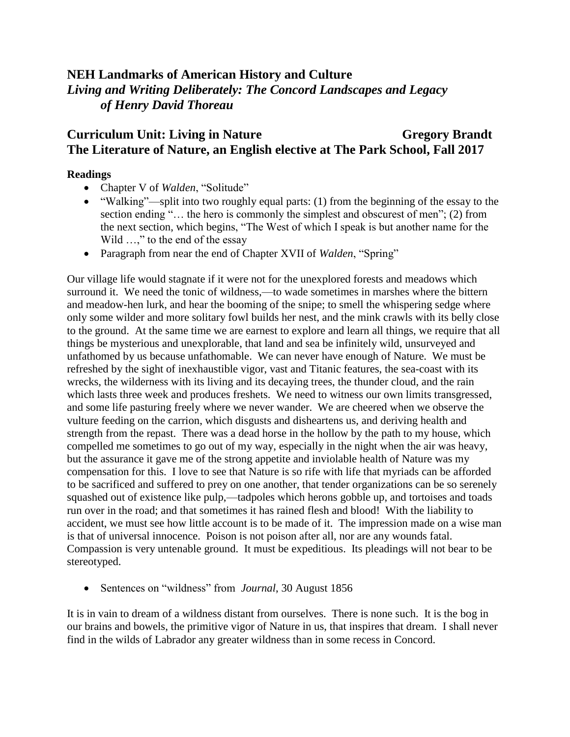## **NEH Landmarks of American History and Culture** *Living and Writing Deliberately: The Concord Landscapes and Legacy of Henry David Thoreau*

# **Curriculum Unit: Living in Nature Gregory Brandt The Literature of Nature, an English elective at The Park School, Fall 2017**

#### **Readings**

- Chapter V of *Walden*, "Solitude"
- "Walking"—split into two roughly equal parts: (1) from the beginning of the essay to the section ending "... the hero is commonly the simplest and obscurest of men"; (2) from the next section, which begins, "The West of which I speak is but another name for the Wild ...," to the end of the essay
- Paragraph from near the end of Chapter XVII of *Walden*, "Spring"

Our village life would stagnate if it were not for the unexplored forests and meadows which surround it. We need the tonic of wildness,—to wade sometimes in marshes where the bittern and meadow-hen lurk, and hear the booming of the snipe; to smell the whispering sedge where only some wilder and more solitary fowl builds her nest, and the mink crawls with its belly close to the ground. At the same time we are earnest to explore and learn all things, we require that all things be mysterious and unexplorable, that land and sea be infinitely wild, unsurveyed and unfathomed by us because unfathomable. We can never have enough of Nature. We must be refreshed by the sight of inexhaustible vigor, vast and Titanic features, the sea-coast with its wrecks, the wilderness with its living and its decaying trees, the thunder cloud, and the rain which lasts three week and produces freshets. We need to witness our own limits transgressed, and some life pasturing freely where we never wander. We are cheered when we observe the vulture feeding on the carrion, which disgusts and disheartens us, and deriving health and strength from the repast. There was a dead horse in the hollow by the path to my house, which compelled me sometimes to go out of my way, especially in the night when the air was heavy, but the assurance it gave me of the strong appetite and inviolable health of Nature was my compensation for this. I love to see that Nature is so rife with life that myriads can be afforded to be sacrificed and suffered to prey on one another, that tender organizations can be so serenely squashed out of existence like pulp,—tadpoles which herons gobble up, and tortoises and toads run over in the road; and that sometimes it has rained flesh and blood! With the liability to accident, we must see how little account is to be made of it. The impression made on a wise man is that of universal innocence. Poison is not poison after all, nor are any wounds fatal. Compassion is very untenable ground. It must be expeditious. Its pleadings will not bear to be stereotyped.

Sentences on "wildness" from *Journal*, 30 August 1856

It is in vain to dream of a wildness distant from ourselves. There is none such. It is the bog in our brains and bowels, the primitive vigor of Nature in us, that inspires that dream. I shall never find in the wilds of Labrador any greater wildness than in some recess in Concord.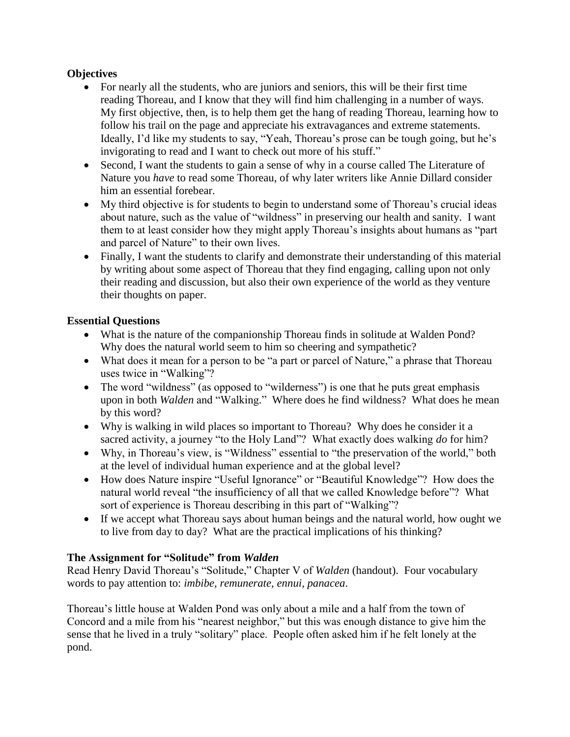#### **Objectives**

- For nearly all the students, who are juniors and seniors, this will be their first time reading Thoreau, and I know that they will find him challenging in a number of ways. My first objective, then, is to help them get the hang of reading Thoreau, learning how to follow his trail on the page and appreciate his extravagances and extreme statements. Ideally, I'd like my students to say, "Yeah, Thoreau's prose can be tough going, but he's invigorating to read and I want to check out more of his stuff."
- Second, I want the students to gain a sense of why in a course called The Literature of Nature you *have* to read some Thoreau, of why later writers like Annie Dillard consider him an essential forebear.
- My third objective is for students to begin to understand some of Thoreau's crucial ideas about nature, such as the value of "wildness" in preserving our health and sanity. I want them to at least consider how they might apply Thoreau's insights about humans as "part and parcel of Nature" to their own lives.
- Finally, I want the students to clarify and demonstrate their understanding of this material by writing about some aspect of Thoreau that they find engaging, calling upon not only their reading and discussion, but also their own experience of the world as they venture their thoughts on paper.

#### **Essential Questions**

- What is the nature of the companionship Thoreau finds in solitude at Walden Pond? Why does the natural world seem to him so cheering and sympathetic?
- What does it mean for a person to be "a part or parcel of Nature," a phrase that Thoreau uses twice in "Walking"?
- The word "wildness" (as opposed to "wilderness") is one that he puts great emphasis upon in both *Walden* and "Walking." Where does he find wildness? What does he mean by this word?
- Why is walking in wild places so important to Thoreau? Why does he consider it a sacred activity, a journey "to the Holy Land"? What exactly does walking *do* for him?
- Why, in Thoreau's view, is "Wildness" essential to "the preservation of the world," both at the level of individual human experience and at the global level?
- How does Nature inspire "Useful Ignorance" or "Beautiful Knowledge"? How does the natural world reveal "the insufficiency of all that we called Knowledge before"? What sort of experience is Thoreau describing in this part of "Walking"?
- If we accept what Thoreau says about human beings and the natural world, how ought we to live from day to day? What are the practical implications of his thinking?

## **The Assignment for "Solitude" from** *Walden*

Read Henry David Thoreau's "Solitude," Chapter V of *Walden* (handout). Four vocabulary words to pay attention to: *imbibe, remunerate, ennui, panacea*.

Thoreau's little house at Walden Pond was only about a mile and a half from the town of Concord and a mile from his "nearest neighbor," but this was enough distance to give him the sense that he lived in a truly "solitary" place. People often asked him if he felt lonely at the pond.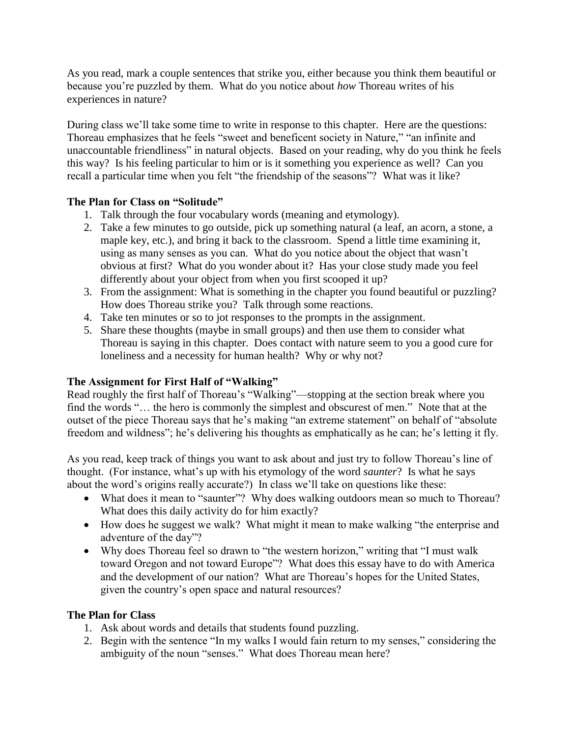As you read, mark a couple sentences that strike you, either because you think them beautiful or because you're puzzled by them. What do you notice about *how* Thoreau writes of his experiences in nature?

During class we'll take some time to write in response to this chapter. Here are the questions: Thoreau emphasizes that he feels "sweet and beneficent society in Nature," "an infinite and unaccountable friendliness" in natural objects. Based on your reading, why do you think he feels this way? Is his feeling particular to him or is it something you experience as well? Can you recall a particular time when you felt "the friendship of the seasons"? What was it like?

#### **The Plan for Class on "Solitude"**

- 1. Talk through the four vocabulary words (meaning and etymology).
- 2. Take a few minutes to go outside, pick up something natural (a leaf, an acorn, a stone, a maple key, etc.), and bring it back to the classroom. Spend a little time examining it, using as many senses as you can. What do you notice about the object that wasn't obvious at first? What do you wonder about it? Has your close study made you feel differently about your object from when you first scooped it up?
- 3. From the assignment: What is something in the chapter you found beautiful or puzzling? How does Thoreau strike you? Talk through some reactions.
- 4. Take ten minutes or so to jot responses to the prompts in the assignment.
- 5. Share these thoughts (maybe in small groups) and then use them to consider what Thoreau is saying in this chapter. Does contact with nature seem to you a good cure for loneliness and a necessity for human health? Why or why not?

## **The Assignment for First Half of "Walking"**

Read roughly the first half of Thoreau's "Walking"—stopping at the section break where you find the words "… the hero is commonly the simplest and obscurest of men." Note that at the outset of the piece Thoreau says that he's making "an extreme statement" on behalf of "absolute freedom and wildness"; he's delivering his thoughts as emphatically as he can; he's letting it fly.

As you read, keep track of things you want to ask about and just try to follow Thoreau's line of thought. (For instance, what's up with his etymology of the word *saunter*? Is what he says about the word's origins really accurate?) In class we'll take on questions like these:

- What does it mean to "saunter"? Why does walking outdoors mean so much to Thoreau? What does this daily activity do for him exactly?
- How does he suggest we walk? What might it mean to make walking "the enterprise and adventure of the day"?
- Why does Thoreau feel so drawn to "the western horizon," writing that "I must walk toward Oregon and not toward Europe"? What does this essay have to do with America and the development of our nation? What are Thoreau's hopes for the United States, given the country's open space and natural resources?

#### **The Plan for Class**

- 1. Ask about words and details that students found puzzling.
- 2. Begin with the sentence "In my walks I would fain return to my senses," considering the ambiguity of the noun "senses." What does Thoreau mean here?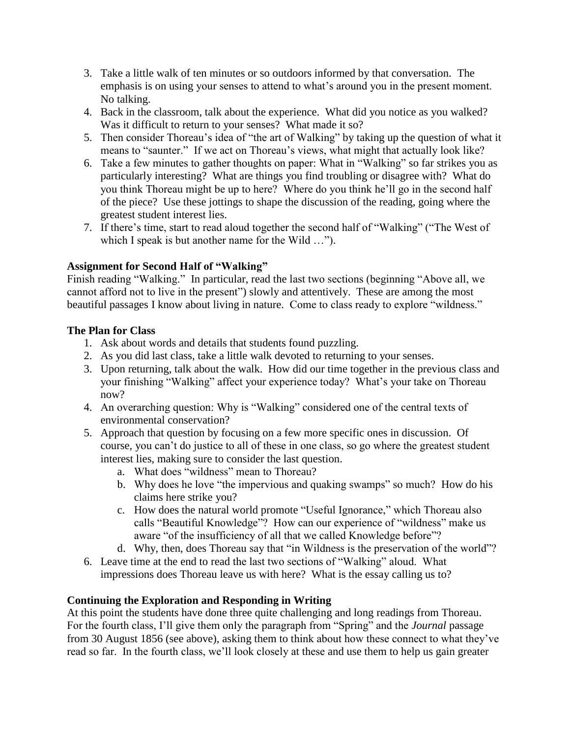- 3. Take a little walk of ten minutes or so outdoors informed by that conversation. The emphasis is on using your senses to attend to what's around you in the present moment. No talking.
- 4. Back in the classroom, talk about the experience. What did you notice as you walked? Was it difficult to return to your senses? What made it so?
- 5. Then consider Thoreau's idea of "the art of Walking" by taking up the question of what it means to "saunter." If we act on Thoreau's views, what might that actually look like?
- 6. Take a few minutes to gather thoughts on paper: What in "Walking" so far strikes you as particularly interesting? What are things you find troubling or disagree with? What do you think Thoreau might be up to here? Where do you think he'll go in the second half of the piece? Use these jottings to shape the discussion of the reading, going where the greatest student interest lies.
- 7. If there's time, start to read aloud together the second half of "Walking" ("The West of which I speak is but another name for the Wild ...").

#### **Assignment for Second Half of "Walking"**

Finish reading "Walking." In particular, read the last two sections (beginning "Above all, we cannot afford not to live in the present") slowly and attentively. These are among the most beautiful passages I know about living in nature. Come to class ready to explore "wildness."

#### **The Plan for Class**

- 1. Ask about words and details that students found puzzling.
- 2. As you did last class, take a little walk devoted to returning to your senses.
- 3. Upon returning, talk about the walk. How did our time together in the previous class and your finishing "Walking" affect your experience today? What's your take on Thoreau now?
- 4. An overarching question: Why is "Walking" considered one of the central texts of environmental conservation?
- 5. Approach that question by focusing on a few more specific ones in discussion. Of course, you can't do justice to all of these in one class, so go where the greatest student interest lies, making sure to consider the last question.
	- a. What does "wildness" mean to Thoreau?
	- b. Why does he love "the impervious and quaking swamps" so much? How do his claims here strike you?
	- c. How does the natural world promote "Useful Ignorance," which Thoreau also calls "Beautiful Knowledge"? How can our experience of "wildness" make us aware "of the insufficiency of all that we called Knowledge before"?
	- d. Why, then, does Thoreau say that "in Wildness is the preservation of the world"?
- 6. Leave time at the end to read the last two sections of "Walking" aloud. What impressions does Thoreau leave us with here? What is the essay calling us to?

## **Continuing the Exploration and Responding in Writing**

At this point the students have done three quite challenging and long readings from Thoreau. For the fourth class, I'll give them only the paragraph from "Spring" and the *Journal* passage from 30 August 1856 (see above), asking them to think about how these connect to what they've read so far. In the fourth class, we'll look closely at these and use them to help us gain greater